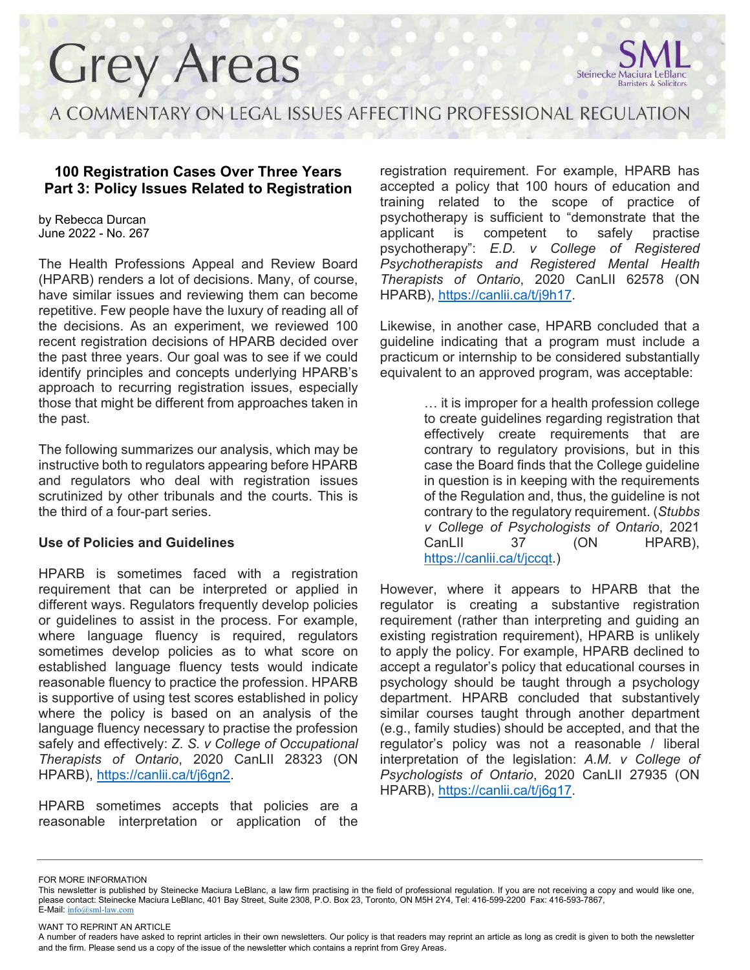

A COMMENTARY ON LEGAL ISSUES AFFECTING PROFESSIONAL REGULATION

### **100 Registration Cases Over Three Years Part 3: Policy Issues Related to Registration**

by Rebecca Durcan June 2022 - No. 267

The Health Professions Appeal and Review Board (HPARB) renders a lot of decisions. Many, of course, have similar issues and reviewing them can become repetitive. Few people have the luxury of reading all of the decisions. As an experiment, we reviewed 100 recent registration decisions of HPARB decided over the past three years. Our goal was to see if we could identify principles and concepts underlying HPARB's approach to recurring registration issues, especially those that might be different from approaches taken in the past.

The following summarizes our analysis, which may be instructive both to regulators appearing before HPARB and regulators who deal with registration issues scrutinized by other tribunals and the courts. This is the third of a four-part series.

#### **Use of Policies and Guidelines**

HPARB is sometimes faced with a registration requirement that can be interpreted or applied in different ways. Regulators frequently develop policies or guidelines to assist in the process. For example, where language fluency is required, regulators sometimes develop policies as to what score on established language fluency tests would indicate reasonable fluency to practice the profession. HPARB is supportive of using test scores established in policy where the policy is based on an analysis of the language fluency necessary to practise the profession safely and effectively: *Z. S. v College of Occupational Therapists of Ontario*, 2020 CanLII 28323 (ON HPARB), [https://canlii.ca/t/j6gn2.](https://canlii.ca/t/j6gn2)

HPARB sometimes accepts that policies are a reasonable interpretation or application of the registration requirement. For example, HPARB has accepted a policy that 100 hours of education and training related to the scope of practice of psychotherapy is sufficient to "demonstrate that the applicant is competent to safely practise psychotherapy": *E.D. v College of Registered Psychotherapists and Registered Mental Health Therapists of Ontario*, 2020 CanLII 62578 (ON HPARB), [https://canlii.ca/t/j9h17.](https://canlii.ca/t/j9h17)

Likewise, in another case, HPARB concluded that a guideline indicating that a program must include a practicum or internship to be considered substantially equivalent to an approved program, was acceptable:

> … it is improper for a health profession college to create guidelines regarding registration that effectively create requirements that are contrary to regulatory provisions, but in this case the Board finds that the College guideline in question is in keeping with the requirements of the Regulation and, thus, the guideline is not contrary to the regulatory requirement. (*Stubbs v College of Psychologists of Ontario*, 2021 CanLII 37 (ON HPARB), [https://canlii.ca/t/jccqt.](https://canlii.ca/t/jccqt))

However, where it appears to HPARB that the regulator is creating a substantive registration requirement (rather than interpreting and guiding an existing registration requirement), HPARB is unlikely to apply the policy. For example, HPARB declined to accept a regulator's policy that educational courses in psychology should be taught through a psychology department. HPARB concluded that substantively similar courses taught through another department (e.g., family studies) should be accepted, and that the regulator's policy was not a reasonable / liberal interpretation of the legislation: *A.M. v College of Psychologists of Ontario*, 2020 CanLII 27935 (ON HPARB), [https://canlii.ca/t/j6g17.](https://canlii.ca/t/j6g17)

FOR MORE INFORMATION

WANT TO REPRINT AN ARTICLE

This newsletter is published by Steinecke Maciura LeBlanc, a law firm practising in the field of professional regulation. If you are not receiving a copy and would like one, please contact: Steinecke Maciura LeBlanc, 401 Bay Street, Suite 2308, P.O. Box 23, Toronto, ON M5H 2Y4, Tel: 416-599-2200 Fax: 416-593-7867, E-Mail: [info@sml-law.com](mailto:info@sml-law.com)

A number of readers have asked to reprint articles in their own newsletters. Our policy is that readers may reprint an article as long as credit is given to both the newsletter and the firm. Please send us a copy of the issue of the newsletter which contains a reprint from Grey Areas.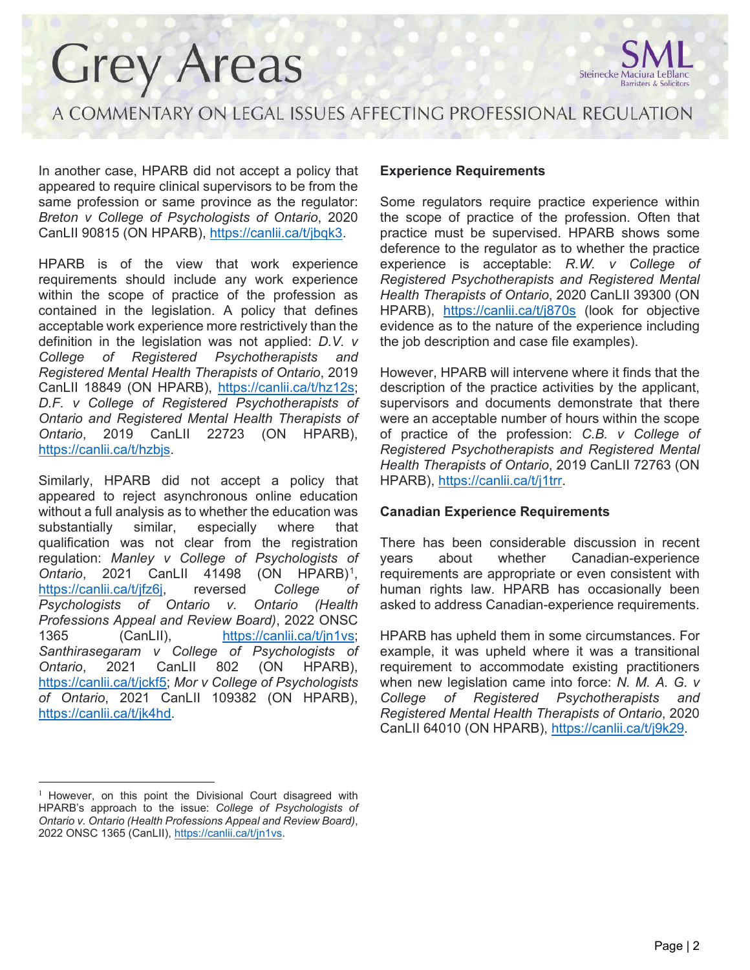

A COMMENTARY ON LEGAL ISSUES AFFECTING PROFESSIONAL REGULATION

In another case, HPARB did not accept a policy that appeared to require clinical supervisors to be from the same profession or same province as the regulator: *Breton v College of Psychologists of Ontario*, 2020 CanLII 90815 (ON HPARB), [https://canlii.ca/t/jbqk3.](https://canlii.ca/t/jbqk3)

HPARB is of the view that work experience requirements should include any work experience within the scope of practice of the profession as contained in the legislation. A policy that defines acceptable work experience more restrictively than the definition in the legislation was not applied: *D.V. v College of Registered Psychotherapists and Registered Mental Health Therapists of Ontario*, 2019 CanLII 18849 (ON HPARB), [https://canlii.ca/t/hz12s;](https://canlii.ca/t/hz12s) *D.F. v College of Registered Psychotherapists of Ontario and Registered Mental Health Therapists of Ontario*, 2019 CanLII 22723 (ON HPARB), [https://canlii.ca/t/hzbjs.](https://canlii.ca/t/hzbjs)

Similarly, HPARB did not accept a policy that appeared to reject asynchronous online education without a full analysis as to whether the education was substantially similar, especially where that qualification was not clear from the registration regulation: *Manley v College of Psychologists of Ontario*, 2021 CanLII 41498 (ON HPARB)[1](#page-1-0), [https://canlii.ca/t/jfz6j,](https://canlii.ca/t/jfz6j) reversed *College of Psychologists of Ontario v. Ontario (Health Professions Appeal and Review Board)*, 2022 ONSC 1365 (CanLII), [https://canlii.ca/t/jn1vs;](https://canlii.ca/t/jn1vs) *Santhirasegaram v College of Psychologists of Ontario*, 2021 CanLII 802 (ON HPARB), [https://canlii.ca/t/jckf5;](https://canlii.ca/t/jckf5) *Mor v College of Psychologists of Ontario*, 2021 CanLII 109382 (ON HPARB), [https://canlii.ca/t/jk4hd.](https://canlii.ca/t/jk4hd)

#### **Experience Requirements**

Some regulators require practice experience within the scope of practice of the profession. Often that practice must be supervised. HPARB shows some deference to the regulator as to whether the practice experience is acceptable: *R.W. v College of Registered Psychotherapists and Registered Mental Health Therapists of Ontario*, 2020 CanLII 39300 (ON HPARB), <https://canlii.ca/t/j870s> (look for objective evidence as to the nature of the experience including the job description and case file examples).

However, HPARB will intervene where it finds that the description of the practice activities by the applicant, supervisors and documents demonstrate that there were an acceptable number of hours within the scope of practice of the profession: *C.B. v College of Registered Psychotherapists and Registered Mental Health Therapists of Ontario*, 2019 CanLII 72763 (ON HPARB), [https://canlii.ca/t/j1trr.](https://canlii.ca/t/j1trr)

#### **Canadian Experience Requirements**

There has been considerable discussion in recent years about whether Canadian-experience requirements are appropriate or even consistent with human rights law. HPARB has occasionally been asked to address Canadian-experience requirements.

HPARB has upheld them in some circumstances. For example, it was upheld where it was a transitional requirement to accommodate existing practitioners when new legislation came into force: *N. M. A. G. v College of Registered Psychotherapists and Registered Mental Health Therapists of Ontario*, 2020 CanLII 64010 (ON HPARB), [https://canlii.ca/t/j9k29.](https://canlii.ca/t/j9k29)

<span id="page-1-0"></span><sup>&</sup>lt;sup>1</sup> However, on this point the Divisional Court disagreed with HPARB's approach to the issue: *College of Psychologists of Ontario v. Ontario (Health Professions Appeal and Review Board)*, 2022 ONSC 1365 (CanLII), [https://canlii.ca/t/jn1vs.](https://canlii.ca/t/jn1vs)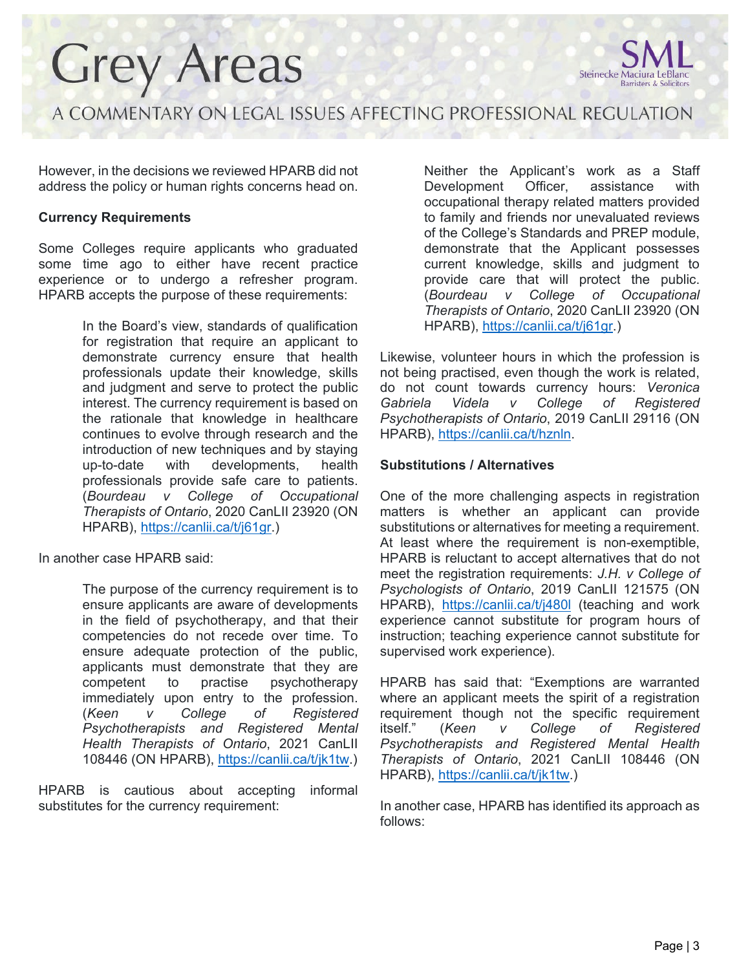

A COMMENTARY ON LEGAL ISSUES AFFECTING PROFESSIONAL REGULATION

However, in the decisions we reviewed HPARB did not address the policy or human rights concerns head on.

### **Currency Requirements**

Some Colleges require applicants who graduated some time ago to either have recent practice experience or to undergo a refresher program. HPARB accepts the purpose of these requirements:

> In the Board's view, standards of qualification for registration that require an applicant to demonstrate currency ensure that health professionals update their knowledge, skills and judgment and serve to protect the public interest. The currency requirement is based on the rationale that knowledge in healthcare continues to evolve through research and the introduction of new techniques and by staying up-to-date with developments, health professionals provide safe care to patients. (*Bourdeau v College of Occupational Therapists of Ontario*, 2020 CanLII 23920 (ON HPARB), [https://canlii.ca/t/j61gr.](https://canlii.ca/t/j61gr))

In another case HPARB said:

The purpose of the currency requirement is to ensure applicants are aware of developments in the field of psychotherapy, and that their competencies do not recede over time. To ensure adequate protection of the public, applicants must demonstrate that they are competent to practise psychotherapy immediately upon entry to the profession. (*Keen v College of Registered Psychotherapists and Registered Mental Health Therapists of Ontario*, 2021 CanLII 108446 (ON HPARB), [https://canlii.ca/t/jk1tw.](https://canlii.ca/t/jk1tw))

HPARB is cautious about accepting informal substitutes for the currency requirement:

Neither the Applicant's work as a Staff Development Officer, assistance with occupational therapy related matters provided to family and friends nor unevaluated reviews of the College's Standards and PREP module, demonstrate that the Applicant possesses current knowledge, skills and judgment to provide care that will protect the public. (*Bourdeau v College of Occupational Therapists of Ontario*, 2020 CanLII 23920 (ON HPARB), [https://canlii.ca/t/j61gr.](https://canlii.ca/t/j61gr))

Likewise, volunteer hours in which the profession is not being practised, even though the work is related, do not count towards currency hours: *Veronica Gabriela Videla v College of Registered Psychotherapists of Ontario*, 2019 CanLII 29116 (ON HPARB), [https://canlii.ca/t/hznln.](https://canlii.ca/t/hznln)

#### **Substitutions / Alternatives**

One of the more challenging aspects in registration matters is whether an applicant can provide substitutions or alternatives for meeting a requirement. At least where the requirement is non-exemptible, HPARB is reluctant to accept alternatives that do not meet the registration requirements: *J.H. v College of Psychologists of Ontario*, 2019 CanLII 121575 (ON HPARB), <https://canlii.ca/t/j480l> (teaching and work experience cannot substitute for program hours of instruction; teaching experience cannot substitute for supervised work experience).

HPARB has said that: "Exemptions are warranted where an applicant meets the spirit of a registration requirement though not the specific requirement<br>itself." (Keen v College of Registered itself." (*Keen v College of Registered Psychotherapists and Registered Mental Health Therapists of Ontario*, 2021 CanLII 108446 (ON HPARB), [https://canlii.ca/t/jk1tw.](https://canlii.ca/t/jk1tw))

In another case, HPARB has identified its approach as follows: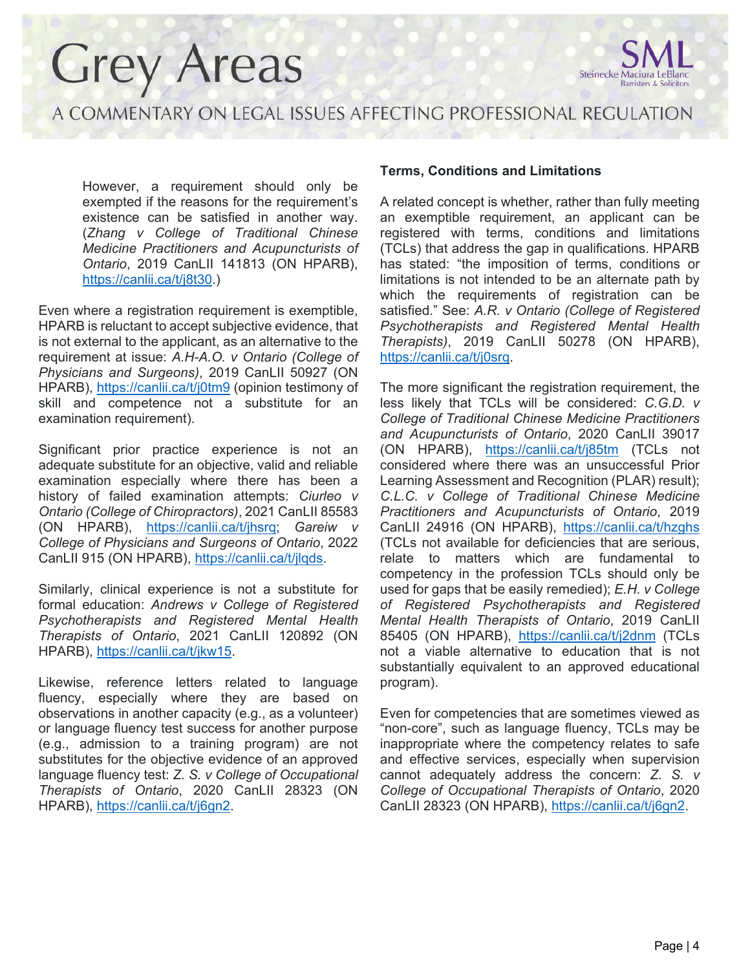

A COMMENTARY ON LEGAL ISSUES AFFECTING PROFESSIONAL REGULATION

However, a requirement should only be exempted if the reasons for the requirement's existence can be satisfied in another way. (*Zhang v College of Traditional Chinese Medicine Practitioners and Acupuncturists of Ontario*, 2019 CanLII 141813 (ON HPARB), [https://canlii.ca/t/j8t30.](https://canlii.ca/t/j8t30))

Even where a registration requirement is exemptible, HPARB is reluctant to accept subjective evidence, that is not external to the applicant, as an alternative to the requirement at issue: *A.H-A.O. v Ontario (College of Physicians and Surgeons)*, 2019 CanLII 50927 (ON HPARB),<https://canlii.ca/t/j0tm9> (opinion testimony of skill and competence not a substitute for an examination requirement).

Significant prior practice experience is not an adequate substitute for an objective, valid and reliable examination especially where there has been a history of failed examination attempts: *Ciurleo v Ontario (College of Chiropractors)*, 2021 CanLII 85583 (ON HPARB), [https://canlii.ca/t/jhsrq;](https://canlii.ca/t/jhsrq) *Gareiw v College of Physicians and Surgeons of Ontario*, 2022 CanLII 915 (ON HPARB), [https://canlii.ca/t/jlqds.](https://canlii.ca/t/jlqds)

Similarly, clinical experience is not a substitute for formal education: *Andrews v College of Registered Psychotherapists and Registered Mental Health Therapists of Ontario*, 2021 CanLII 120892 (ON HPARB), [https://canlii.ca/t/jkw15.](https://canlii.ca/t/jkw15)

Likewise, reference letters related to language fluency, especially where they are based on observations in another capacity (e.g., as a volunteer) or language fluency test success for another purpose (e.g., admission to a training program) are not substitutes for the objective evidence of an approved language fluency test: *Z. S. v College of Occupational Therapists of Ontario*, 2020 CanLII 28323 (ON HPARB), [https://canlii.ca/t/j6gn2.](https://canlii.ca/t/j6gn2)

### **Terms, Conditions and Limitations**

A related concept is whether, rather than fully meeting an exemptible requirement, an applicant can be registered with terms, conditions and limitations (TCLs) that address the gap in qualifications. HPARB has stated: "the imposition of terms, conditions or limitations is not intended to be an alternate path by which the requirements of registration can be satisfied." See: *A.R. v Ontario (College of Registered Psychotherapists and Registered Mental Health Therapists)*, 2019 CanLII 50278 (ON HPARB), [https://canlii.ca/t/j0srq.](https://canlii.ca/t/j0srq)

The more significant the registration requirement, the less likely that TCLs will be considered: *C.G.D. v College of Traditional Chinese Medicine Practitioners and Acupuncturists of Ontario*, 2020 CanLII 39017 (ON HPARB), <https://canlii.ca/t/j85tm> (TCLs not considered where there was an unsuccessful Prior Learning Assessment and Recognition (PLAR) result); *C.L.C. v College of Traditional Chinese Medicine Practitioners and Acupuncturists of Ontario*, 2019 CanLII 24916 (ON HPARB), <https://canlii.ca/t/hzghs> (TCLs not available for deficiencies that are serious, relate to matters which are fundamental to competency in the profession TCLs should only be used for gaps that be easily remedied); *E.H. v College of Registered Psychotherapists and Registered Mental Health Therapists of Ontario*, 2019 CanLII 85405 (ON HPARB), <https://canlii.ca/t/j2dnm> (TCLs not a viable alternative to education that is not substantially equivalent to an approved educational program).

Even for competencies that are sometimes viewed as "non-core", such as language fluency, TCLs may be inappropriate where the competency relates to safe and effective services, especially when supervision cannot adequately address the concern: *Z. S. v College of Occupational Therapists of Ontario*, 2020 CanLII 28323 (ON HPARB), [https://canlii.ca/t/j6gn2.](https://canlii.ca/t/j6gn2)